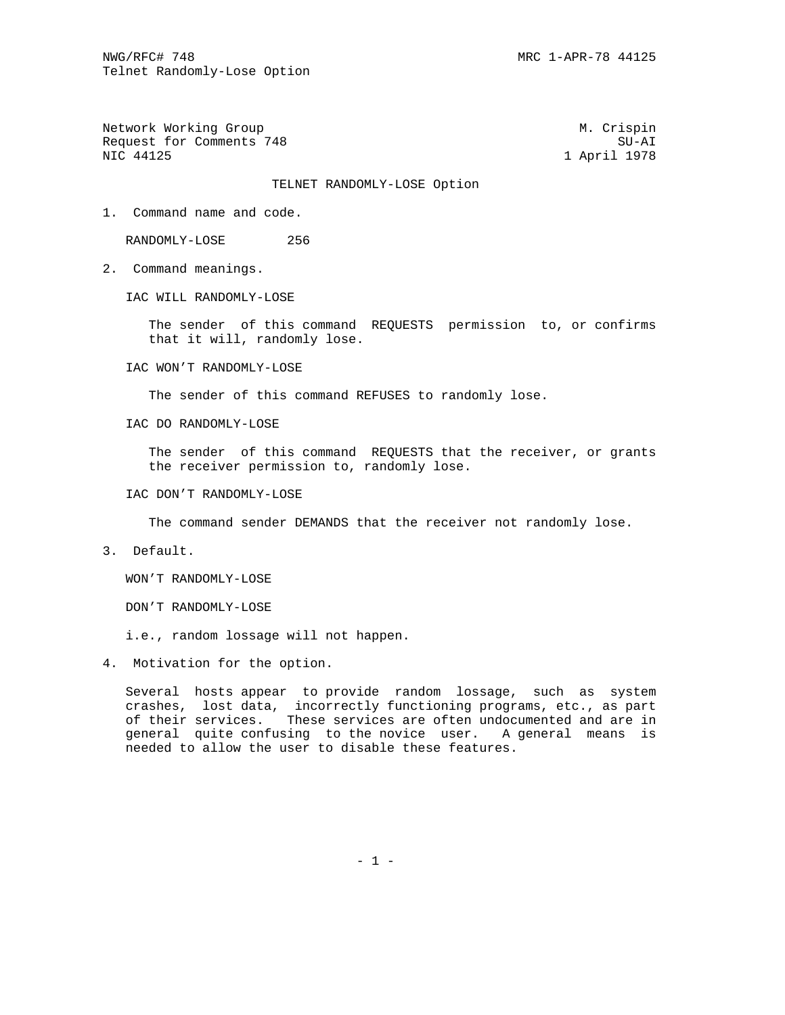Network Working Group Metwork Muslim Crispin Request for Comments 748 SU-AI SU-AI SU-AI SU-AI SU-AI SU-AI SU-AI SU-AI SU-AI SU-AI SU-AI SU-AI SU-AI SU-AI SU

1 April 1978

## TELNET RANDOMLY-LOSE Option

1. Command name and code.

RANDOMLY-LOSE 256

2. Command meanings.

IAC WILL RANDOMLY-LOSE

 The sender of this command REQUESTS permission to, or confirms that it will, randomly lose.

IAC WON'T RANDOMLY-LOSE

The sender of this command REFUSES to randomly lose.

IAC DO RANDOMLY-LOSE

The sender of this command REQUESTS that the receiver, or grants the receiver permission to, randomly lose.

IAC DON'T RANDOMLY-LOSE

The command sender DEMANDS that the receiver not randomly lose.

3. Default.

WON'T RANDOMLY-LOSE

DON'T RANDOMLY-LOSE

i.e., random lossage will not happen.

4. Motivation for the option.

 Several hosts appear to provide random lossage, such as system crashes, lost data, incorrectly functioning programs, etc., as part of their services. These services are often undocumented and are in general quite confusing to the novice user. A general means is needed to allow the user to disable these features.

 $- 1 -$